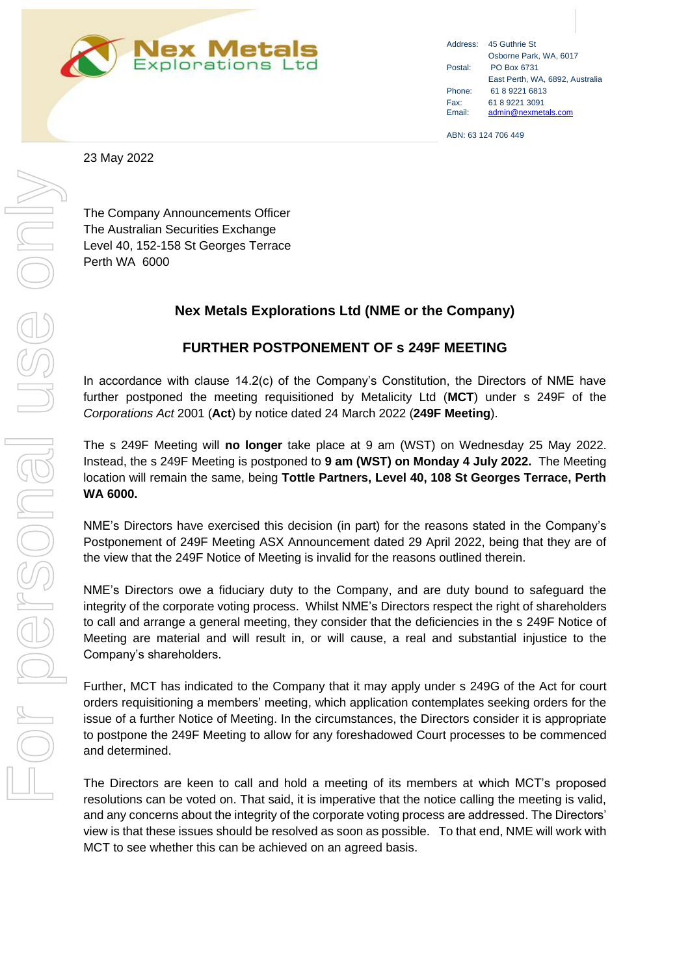

Address: 45 Guthrie St Osborne Park, WA, 6017 Postal: PO Box 6731 East Perth, WA, 6892, Australia Phone: 61 8 9221 6813 Fax: 61 8 9221 3091 Email: [admin@nexmetals.com](mailto:admin@nexmetals.com)

ABN: 63 124 706 449

23 May 2022

The Company Announcements Officer The Australian Securities Exchange Level 40, 152-158 St Georges Terrace Perth WA 6000

## **Nex Metals Explorations Ltd (NME or the Company)**

## **FURTHER POSTPONEMENT OF s 249F MEETING**

In accordance with clause 14.2(c) of the Company's Constitution, the Directors of NME have further postponed the meeting requisitioned by Metalicity Ltd (**MCT**) under s 249F of the *Corporations Act* 2001 (**Act**) by notice dated 24 March 2022 (**249F Meeting**).

The s 249F Meeting will **no longer** take place at 9 am (WST) on Wednesday 25 May 2022. Instead, the s 249F Meeting is postponed to **9 am (WST) on Monday 4 July 2022.** The Meeting location will remain the same, being **Tottle Partners, Level 40, 108 St Georges Terrace, Perth WA 6000.**

NME's Directors have exercised this decision (in part) for the reasons stated in the Company's Postponement of 249F Meeting ASX Announcement dated 29 April 2022, being that they are of the view that the 249F Notice of Meeting is invalid for the reasons outlined therein.

NME's Directors owe a fiduciary duty to the Company, and are duty bound to safeguard the integrity of the corporate voting process. Whilst NME's Directors respect the right of shareholders to call and arrange a general meeting, they consider that the deficiencies in the s 249F Notice of Meeting are material and will result in, or will cause, a real and substantial injustice to the Company's shareholders.

Further, MCT has indicated to the Company that it may apply under s 249G of the Act for court orders requisitioning a members' meeting, which application contemplates seeking orders for the issue of a further Notice of Meeting. In the circumstances, the Directors consider it is appropriate to postpone the 249F Meeting to allow for any foreshadowed Court processes to be commenced and determined.

The Directors are keen to call and hold a meeting of its members at which MCT's proposed resolutions can be voted on. That said, it is imperative that the notice calling the meeting is valid, and any concerns about the integrity of the corporate voting process are addressed. The Directors' view is that these issues should be resolved as soon as possible. To that end, NME will work with MCT to see whether this can be achieved on an agreed basis.